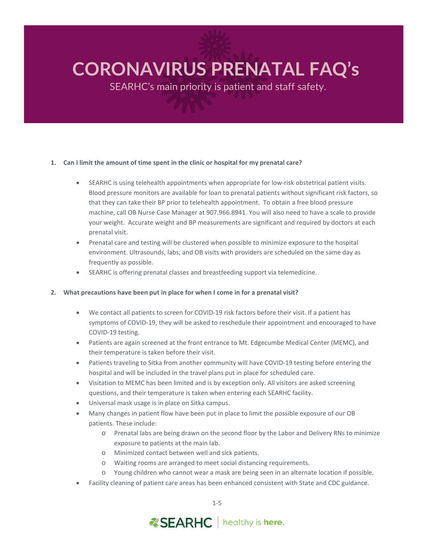SEARHC's main priority is patient and staff safety.

## **1. Can I limit the amount of time spent in the clinic or hospital for my prenatal care?**

- SEARHC is using telehealth appointments when appropriate for low-risk obstetrical patient visits. Blood pressure monitors are available for loan to prenatal patients without significant risk factors, so that they can take their BP prior to telehealth appointment. To obtain a free blood pressure machine, call OB Nurse Case Manager at 907.966.8941. You will also need to have a scale to provide your weight. Accurate weight and BP measurements are significant and required by doctors at each prenatal visit.
- Prenatal care and testing will be clustered when possible to minimize exposure to the hospital environment. Ultrasounds, labs, and OB visits with providers are scheduled on the same day as frequently as possible.
- SEARHC is offering prenatal classes and breastfeeding support via telemedicine.

## **2. What precautions have been put in place for when I come in for a prenatal visit?**

- We contact all patients to screen for COVID-19 risk factors before their visit. If a patient has symptoms of COVID-19, they will be asked to reschedule their appointment and encouraged to have COVID-19 testing.
- Patients are again screened at the front entrance to Mt. Edgecumbe Medical Center (MEMC), and their temperature is taken before their visit.
- Patients traveling to Sitka from another community will have COVID-19 testing before entering the hospital and will be included in the travel plans put in place for scheduled care.
- Visitation to MEMC has been limited and is by exception only. All visitors are asked screening questions, and their temperature is taken when entering each SEARHC facility.
- Universal mask usage is in place on Sitka campus.
- Many changes in patient flow have been put in place to limit the possible exposure of our OB patients. These include:
	- o Prenatal labs are being drawn on the second floor by the Labor and Delivery RNs to minimize exposure to patients at the main lab.
	- o Minimized contact between well and sick patients.
	- o Waiting rooms are arranged to meet social distancing requirements.
	- o Young children who cannot wear a mask are being seen in an alternate location if possible.
- Facility cleaning of patient care areas has been enhanced consistent with State and CDC guidance.

*ESEARHC* | healthy is here.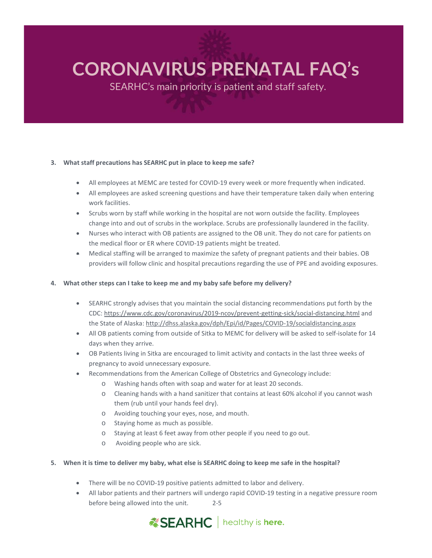SEARHC's main priority is patient and staff safety.

## **3. What staff precautions has SEARHC put in place to keep me safe?**

- All employees at MEMC are tested for COVID-19 every week or more frequently when indicated.
- All employees are asked screening questions and have their temperature taken daily when entering work facilities.
- Scrubs worn by staff while working in the hospital are not worn outside the facility. Employees change into and out of scrubs in the workplace. Scrubs are professionally laundered in the facility.
- Nurses who interact with OB patients are assigned to the OB unit. They do not care for patients on the medical floor or ER where COVID-19 patients might be treated.
- Medical staffing will be arranged to maximize the safety of pregnant patients and their babies. OB providers will follow clinic and hospital precautions regarding the use of PPE and avoiding exposures.

#### **4. What other steps can I take to keep me and my baby safe before my delivery?**

- SEARHC strongly advises that you maintain the social distancing recommendations put forth by the CDC:<https://www.cdc.gov/coronavirus/2019-ncov/prevent-getting-sick/social-distancing.html> and the State of Alaska:<http://dhss.alaska.gov/dph/Epi/id/Pages/COVID-19/socialdistancing.aspx>
- All OB patients coming from outside of Sitka to MEMC for delivery will be asked to self-isolate for 14 days when they arrive.
- OB Patients living in Sitka are encouraged to limit activity and contacts in the last three weeks of pregnancy to avoid unnecessary exposure.
- Recommendations from the American College of Obstetrics and Gynecology include:
	- o Washing hands often with soap and water for at least 20 seconds.
	- o Cleaning hands with a hand sanitizer that contains at least 60% alcohol if you cannot wash them (rub until your hands feel dry).
	- o Avoiding touching your eyes, nose, and mouth.
	- o Staying home as much as possible.
	- o Staying at least 6 feet away from other people if you need to go out.
	- o Avoiding people who are sick.

#### **5. When it is time to deliver my baby, what else is SEARHC doing to keep me safe in the hospital?**

- There will be no COVID-19 positive patients admitted to labor and delivery.
- 2-5 • All labor patients and their partners will undergo rapid COVID-19 testing in a negative pressure room before being allowed into the unit.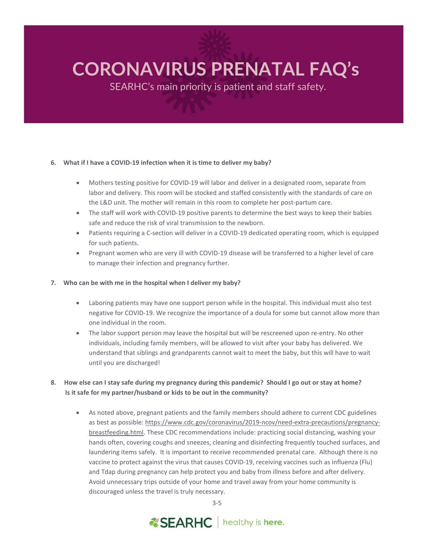SEARHC's main priority is patient and staff safety.

#### **6. What if I have a COVID-19 infection when it is time to deliver my baby?**

- Mothers testing positive for COVID-19 will labor and deliver in a designated room, separate from labor and delivery. This room will be stocked and staffed consistently with the standards of care on the L&D unit. The mother will remain in this room to complete her post-partum care.
- The staff will work with COVID-19 positive parents to determine the best ways to keep their babies safe and reduce the risk of viral transmission to the newborn.
- Patients requiring a C-section will deliver in a COVID-19 dedicated operating room, which is equipped for such patients.
- Pregnant women who are very ill with COVID-19 disease will be transferred to a higher level of care to manage their infection and pregnancy further.

#### **7. Who can be with me in the hospital when I deliver my baby?**

- Laboring patients may have one support person while in the hospital. This individual must also test negative for COVID-19. We recognize the importance of a doula for some but cannot allow more than one individual in the room.
- The labor support person may leave the hospital but will be rescreened upon re-entry. No other individuals, including family members, will be allowed to visit after your baby has delivered. We understand that siblings and grandparents cannot wait to meet the baby, but this will have to wait until you are discharged!
- **8. How else can I stay safe during my pregnancy during this pandemic? Should I go out or stay at home? Is it safe for my partner/husband or kids to be out in the community?**
	- As noted above, pregnant patients and the family members should adhere to current CDC guidelines as best as possible: [https://www.cdc.gov/coronavirus/2019-ncov/need-extra-precautions/pregnancy](https://www.cdc.gov/coronavirus/2019-ncov/need-extra-precautions/pregnancy-breastfeeding.html)[breastfeeding.html.](https://www.cdc.gov/coronavirus/2019-ncov/need-extra-precautions/pregnancy-breastfeeding.html) These CDC recommendations include: practicing social distancing, washing your hands often, covering coughs and sneezes, cleaning and disinfecting frequently touched surfaces, and laundering items safely. It is important to receive recommended prenatal care. Although there is no vaccine to protect against the virus that causes COVID-19, receiving vaccines such as influenza (Flu) and Tdap during pregnancy can help protect you and baby from illness before and after delivery. Avoid unnecessary trips outside of your home and travel away from your home community is discouraged unless the travel is truly necessary.

3-5

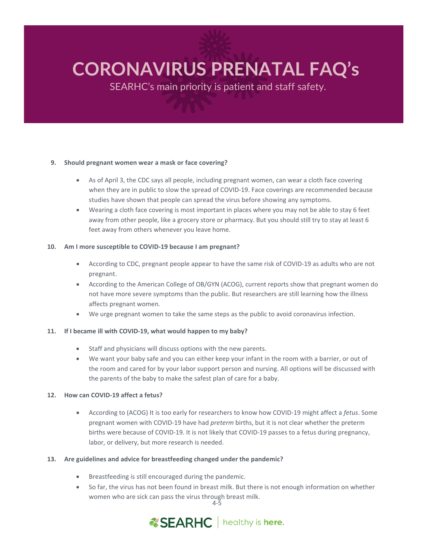SEARHC's main priority is patient and staff safety.

#### **9. Should pregnant women wear a mask or face covering?**

- As of April 3, the CDC says all people, including pregnant women, can wear a cloth face covering when they are in public to slow the spread of COVID-19. Face coverings are recommended because studies have shown that people can spread the virus before showing any symptoms.
- Wearing a cloth face covering is most important in places where you may not be able to stay 6 feet away from other people, like a grocery store or pharmacy. But you should still try to stay at least 6 feet away from others whenever you leave home.

#### **10. Am I more susceptible to COVID-19 because I am pregnant?**

- According to CDC, pregnant people appear to have the same risk of COVID-19 as adults who are not pregnant.
- According to the American College of OB/GYN (ACOG), current reports show that pregnant women do not have more severe symptoms than the public. But researchers are still learning how the illness affects pregnant women.
- We urge pregnant women to take the same steps as the public to avoid coronavirus infection.

## **11. If I became ill with COVID-19, what would happen to my baby?**

- Staff and physicians will discuss options with the new parents.
- We want your baby safe and you can either keep your infant in the room with a barrier, or out of the room and cared for by your labor support person and nursing. All options will be discussed with the parents of the baby to make the safest plan of care for a baby.

## **12. How can COVID-19 affect a fetus?**

• According to (ACOG) It is too early for researchers to know how COVID-19 might affect a *fetus*. Some pregnant women with COVID-19 have had *preterm* births, but it is not clear whether the preterm births were because of COVID-19. It is not likely that COVID-19 passes to a fetus during pregnancy, labor, or delivery, but more research is needed.

## **13. Are guidelines and advice for breastfeeding changed under the pandemic?**

- Breastfeeding is still encouraged during the pandemic.
- 4-5 • So far, the virus has not been found in breast milk. But there is not enough information on whether women who are sick can pass the virus through breast milk.